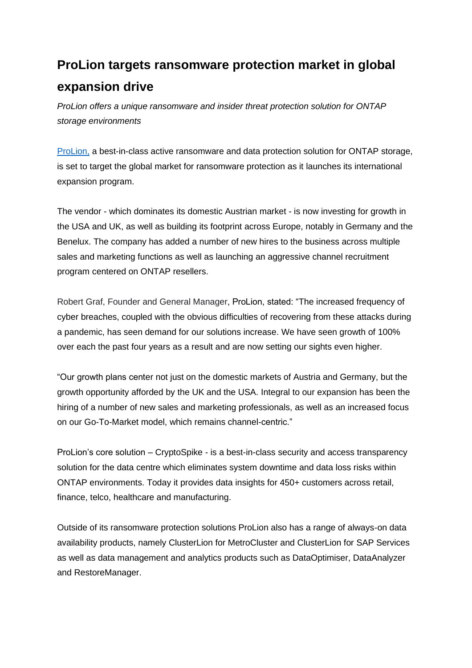## **ProLion targets ransomware protection market in global expansion drive**

*ProLion offers a unique ransomware and insider threat protection solution for ONTAP storage environments*

[ProLion,](https://prolion.com/) a best-in-class active ransomware and data protection solution for ONTAP storage, is set to target the global market for ransomware protection as it launches its international expansion program.

The vendor - which dominates its domestic Austrian market - is now investing for growth in the USA and UK, as well as building its footprint across Europe, notably in Germany and the Benelux. The company has added a number of new hires to the business across multiple sales and marketing functions as well as launching an aggressive channel recruitment program centered on ONTAP resellers.

Robert Graf, Founder and General Manager, ProLion, stated: "The increased frequency of cyber breaches, coupled with the obvious difficulties of recovering from these attacks during a pandemic, has seen demand for our solutions increase. We have seen growth of 100% over each the past four years as a result and are now setting our sights even higher.

"Our growth plans center not just on the domestic markets of Austria and Germany, but the growth opportunity afforded by the UK and the USA. Integral to our expansion has been the hiring of a number of new sales and marketing professionals, as well as an increased focus on our Go-To-Market model, which remains channel-centric."

ProLion's core solution – CryptoSpike - is a best-in-class security and access transparency solution for the data centre which eliminates system downtime and data loss risks within ONTAP environments. Today it provides data insights for 450+ customers across retail, finance, telco, healthcare and manufacturing.

Outside of its ransomware protection solutions ProLion also has a range of always-on data availability products, namely ClusterLion for MetroCluster and ClusterLion for SAP Services as well as data management and analytics products such as DataOptimiser, DataAnalyzer and RestoreManager.